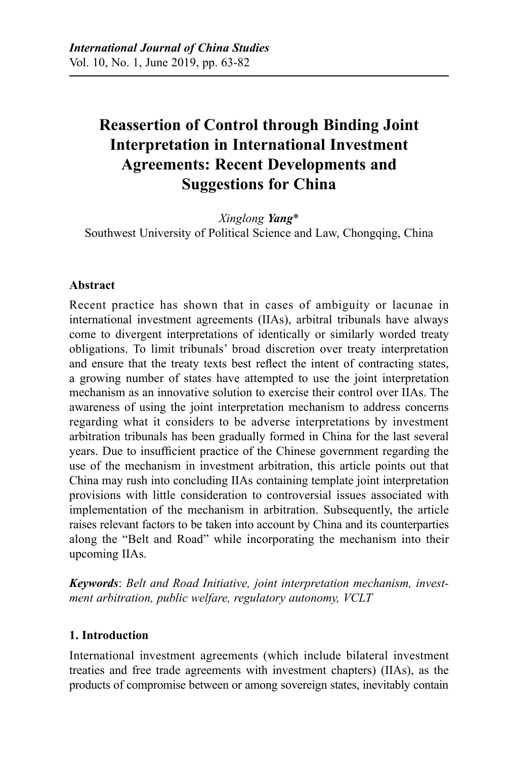# **Reassertion of Control through Binding Joint Interpretation in International Investment Agreements: Recent Developments and Suggestions for China**

*Xinglong Yang*\* Southwest University of Political Science and Law, Chongqing, China

### **Abstract**

Recent practice has shown that in cases of ambiguity or lacunae in international investment agreements (IIAs), arbitral tribunals have always come to divergent interpretations of identically or similarly worded treaty obligations. To limit tribunals' broad discretion over treaty interpretation and ensure that the treaty texts best reflect the intent of contracting states, a growing number of states have attempted to use the joint interpretation mechanism as an innovative solution to exercise their control over IIAs. The awareness of using the joint interpretation mechanism to address concerns regarding what it considers to be adverse interpretations by investment arbitration tribunals has been gradually formed in China for the last several years. Due to insufficient practice of the Chinese government regarding the use of the mechanism in investment arbitration, this article points out that China may rush into concluding IIAs containing template joint interpretation provisions with little consideration to controversial issues associated with implementation of the mechanism in arbitration. Subsequently, the article raises relevant factors to be taken into account by China and its counterparties along the "Belt and Road" while incorporating the mechanism into their upcoming IIAs.

*Keywords*: *Belt and Road Initiative, joint interpretation mechanism, investment arbitration, public welfare, regulatory autonomy, VCLT*

#### **1. Introduction**

International investment agreements (which include bilateral investment treaties and free trade agreements with investment chapters) (IIAs), as the products of compromise between or among sovereign states, inevitably contain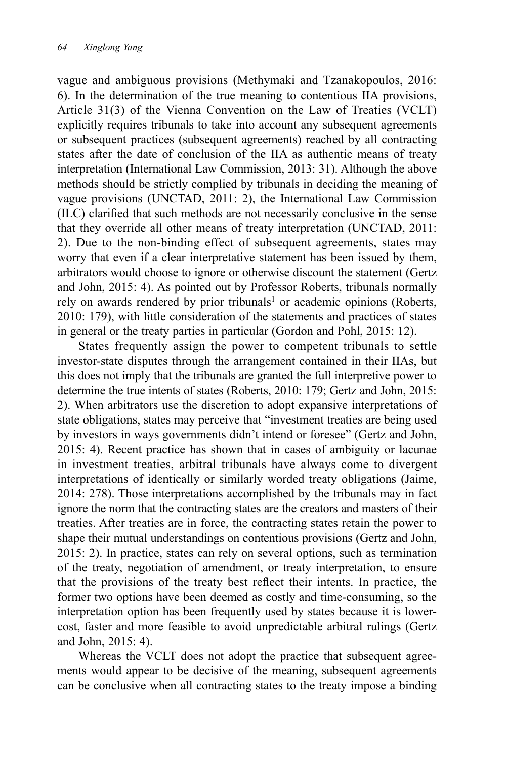vague and ambiguous provisions (Methymaki and Tzanakopoulos, 2016: 6). In the determination of the true meaning to contentious IIA provisions, Article 31(3) of the Vienna Convention on the Law of Treaties (VCLT) explicitly requires tribunals to take into account any subsequent agreements or subsequent practices (subsequent agreements) reached by all contracting states after the date of conclusion of the IIA as authentic means of treaty interpretation (International Law Commission, 2013: 31). Although the above methods should be strictly complied by tribunals in deciding the meaning of vague provisions (UNCTAD, 2011: 2), the International Law Commission (ILC) clarified that such methods are not necessarily conclusive in the sense that they override all other means of treaty interpretation (UNCTAD, 2011: 2). Due to the non-binding effect of subsequent agreements, states may worry that even if a clear interpretative statement has been issued by them, arbitrators would choose to ignore or otherwise discount the statement (Gertz and John, 2015: 4). As pointed out by Professor Roberts, tribunals normally rely on awards rendered by prior tribunals<sup>1</sup> or academic opinions (Roberts, 2010: 179), with little consideration of the statements and practices of states in general or the treaty parties in particular (Gordon and Pohl, 2015: 12).

States frequently assign the power to competent tribunals to settle investor-state disputes through the arrangement contained in their IIAs, but this does not imply that the tribunals are granted the full interpretive power to determine the true intents of states (Roberts, 2010: 179; Gertz and John, 2015: 2). When arbitrators use the discretion to adopt expansive interpretations of state obligations, states may perceive that "investment treaties are being used by investors in ways governments didn't intend or foresee" (Gertz and John, 2015: 4). Recent practice has shown that in cases of ambiguity or lacunae in investment treaties, arbitral tribunals have always come to divergent interpretations of identically or similarly worded treaty obligations (Jaime, 2014: 278). Those interpretations accomplished by the tribunals may in fact ignore the norm that the contracting states are the creators and masters of their treaties. After treaties are in force, the contracting states retain the power to shape their mutual understandings on contentious provisions (Gertz and John, 2015: 2). In practice, states can rely on several options, such as termination of the treaty, negotiation of amendment, or treaty interpretation, to ensure that the provisions of the treaty best reflect their intents. In practice, the former two options have been deemed as costly and time-consuming, so the interpretation option has been frequently used by states because it is lowercost, faster and more feasible to avoid unpredictable arbitral rulings (Gertz and John, 2015: 4).

Whereas the VCLT does not adopt the practice that subsequent agreements would appear to be decisive of the meaning, subsequent agreements can be conclusive when all contracting states to the treaty impose a binding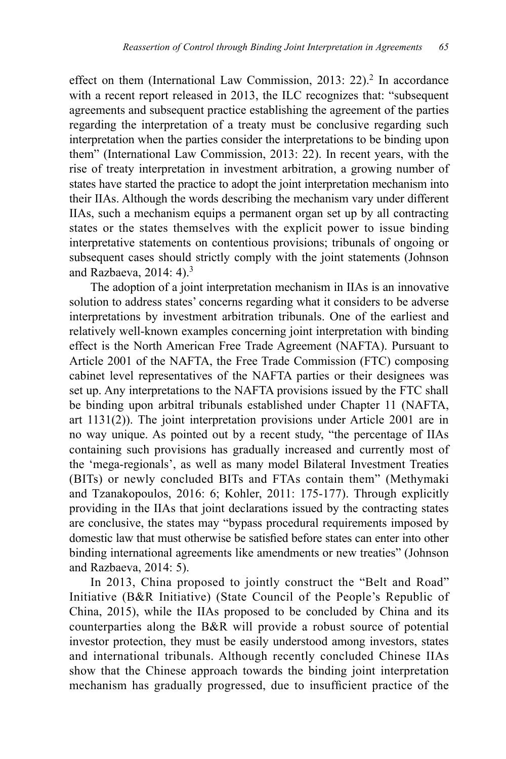effect on them (International Law Commission, 2013: 22).<sup>2</sup> In accordance with a recent report released in 2013, the ILC recognizes that: "subsequent agreements and subsequent practice establishing the agreement of the parties regarding the interpretation of a treaty must be conclusive regarding such interpretation when the parties consider the interpretations to be binding upon them" (International Law Commission, 2013: 22). In recent years, with the rise of treaty interpretation in investment arbitration, a growing number of states have started the practice to adopt the joint interpretation mechanism into their IIAs. Although the words describing the mechanism vary under different IIAs, such a mechanism equips a permanent organ set up by all contracting states or the states themselves with the explicit power to issue binding interpretative statements on contentious provisions; tribunals of ongoing or subsequent cases should strictly comply with the joint statements (Johnson and Razbaeva, 2014: 4).3

The adoption of a joint interpretation mechanism in IIAs is an innovative solution to address states' concerns regarding what it considers to be adverse interpretations by investment arbitration tribunals. One of the earliest and relatively well-known examples concerning joint interpretation with binding effect is the North American Free Trade Agreement (NAFTA). Pursuant to Article 2001 of the NAFTA, the Free Trade Commission (FTC) composing cabinet level representatives of the NAFTA parties or their designees was set up. Any interpretations to the NAFTA provisions issued by the FTC shall be binding upon arbitral tribunals established under Chapter 11 (NAFTA, art 1131(2)). The joint interpretation provisions under Article 2001 are in no way unique. As pointed out by a recent study, "the percentage of IIAs containing such provisions has gradually increased and currently most of the 'mega-regionals', as well as many model Bilateral Investment Treaties (BITs) or newly concluded BITs and FTAs contain them" (Methymaki and Tzanakopoulos, 2016: 6; Kohler, 2011: 175-177). Through explicitly providing in the IIAs that joint declarations issued by the contracting states are conclusive, the states may "bypass procedural requirements imposed by domestic law that must otherwise be satisfied before states can enter into other binding international agreements like amendments or new treaties" (Johnson and Razbaeva, 2014: 5).

In 2013, China proposed to jointly construct the "Belt and Road" Initiative (B&R Initiative) (State Council of the People's Republic of China, 2015), while the IIAs proposed to be concluded by China and its counterparties along the B&R will provide a robust source of potential investor protection, they must be easily understood among investors, states and international tribunals. Although recently concluded Chinese IIAs show that the Chinese approach towards the binding joint interpretation mechanism has gradually progressed, due to insufficient practice of the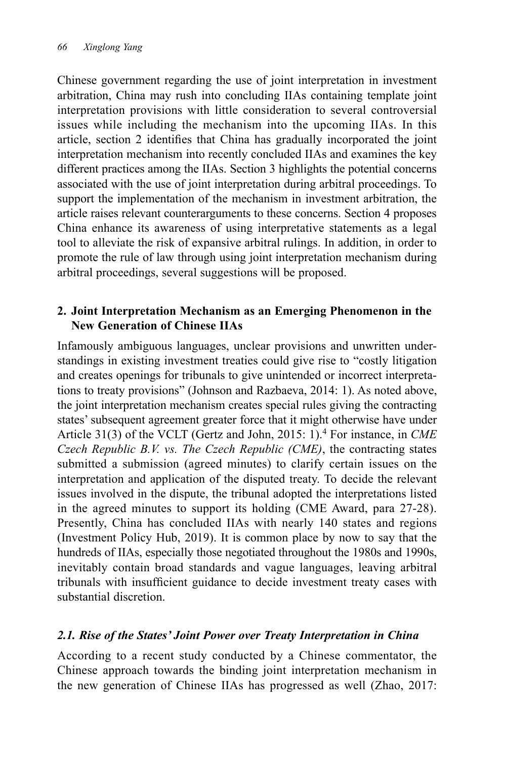Chinese government regarding the use of joint interpretation in investment arbitration, China may rush into concluding IIAs containing template joint interpretation provisions with little consideration to several controversial issues while including the mechanism into the upcoming IIAs. In this article, section 2 identifies that China has gradually incorporated the joint interpretation mechanism into recently concluded IIAs and examines the key different practices among the IIAs. Section 3 highlights the potential concerns associated with the use of joint interpretation during arbitral proceedings. To support the implementation of the mechanism in investment arbitration, the article raises relevant counterarguments to these concerns. Section 4 proposes China enhance its awareness of using interpretative statements as a legal tool to alleviate the risk of expansive arbitral rulings. In addition, in order to promote the rule of law through using joint interpretation mechanism during arbitral proceedings, several suggestions will be proposed.

## **2. Joint Interpretation Mechanism as an Emerging Phenomenon in the New Generation of Chinese IIAs**

Infamously ambiguous languages, unclear provisions and unwritten understandings in existing investment treaties could give rise to "costly litigation and creates openings for tribunals to give unintended or incorrect interpretations to treaty provisions" (Johnson and Razbaeva, 2014: 1). As noted above, the joint interpretation mechanism creates special rules giving the contracting states' subsequent agreement greater force that it might otherwise have under Article 31(3) of the VCLT (Gertz and John, 2015: 1).4 For instance, in *CME Czech Republic B.V. vs. The Czech Republic (CME)*, the contracting states submitted a submission (agreed minutes) to clarify certain issues on the interpretation and application of the disputed treaty. To decide the relevant issues involved in the dispute, the tribunal adopted the interpretations listed in the agreed minutes to support its holding (CME Award, para 27-28). Presently, China has concluded IIAs with nearly 140 states and regions (Investment Policy Hub, 2019). It is common place by now to say that the hundreds of IIAs, especially those negotiated throughout the 1980s and 1990s, inevitably contain broad standards and vague languages, leaving arbitral tribunals with insufficient guidance to decide investment treaty cases with substantial discretion.

# *2.1. Rise of the States' Joint Power over Treaty Interpretation in China*

According to a recent study conducted by a Chinese commentator, the Chinese approach towards the binding joint interpretation mechanism in the new generation of Chinese IIAs has progressed as well (Zhao, 2017: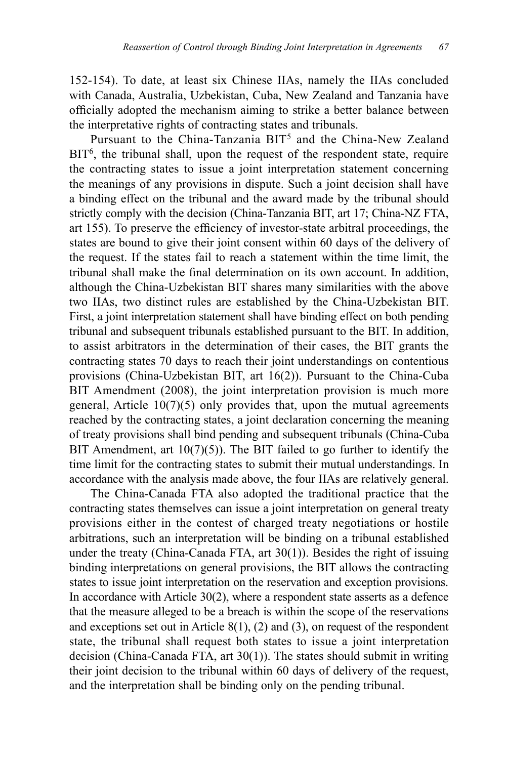152-154). To date, at least six Chinese IIAs, namely the IIAs concluded with Canada, Australia, Uzbekistan, Cuba, New Zealand and Tanzania have officially adopted the mechanism aiming to strike a better balance between the interpretative rights of contracting states and tribunals.

Pursuant to the China-Tanzania BIT<sup>5</sup> and the China-New Zealand BIT<sup>6</sup>, the tribunal shall, upon the request of the respondent state, require the contracting states to issue a joint interpretation statement concerning the meanings of any provisions in dispute. Such a joint decision shall have a binding effect on the tribunal and the award made by the tribunal should strictly comply with the decision (China-Tanzania BIT, art 17; China-NZ FTA, art 155). To preserve the efficiency of investor-state arbitral proceedings, the states are bound to give their joint consent within 60 days of the delivery of the request. If the states fail to reach a statement within the time limit, the tribunal shall make the final determination on its own account. In addition, although the China-Uzbekistan BIT shares many similarities with the above two IIAs, two distinct rules are established by the China-Uzbekistan BIT. First, a joint interpretation statement shall have binding effect on both pending tribunal and subsequent tribunals established pursuant to the BIT. In addition, to assist arbitrators in the determination of their cases, the BIT grants the contracting states 70 days to reach their joint understandings on contentious provisions (China-Uzbekistan BIT, art 16(2)). Pursuant to the China-Cuba BIT Amendment (2008), the joint interpretation provision is much more general, Article 10(7)(5) only provides that, upon the mutual agreements reached by the contracting states, a joint declaration concerning the meaning of treaty provisions shall bind pending and subsequent tribunals (China-Cuba BIT Amendment, art  $10(7)(5)$ ). The BIT failed to go further to identify the time limit for the contracting states to submit their mutual understandings. In accordance with the analysis made above, the four IIAs are relatively general.

The China-Canada FTA also adopted the traditional practice that the contracting states themselves can issue a joint interpretation on general treaty provisions either in the contest of charged treaty negotiations or hostile arbitrations, such an interpretation will be binding on a tribunal established under the treaty (China-Canada FTA, art 30(1)). Besides the right of issuing binding interpretations on general provisions, the BIT allows the contracting states to issue joint interpretation on the reservation and exception provisions. In accordance with Article 30(2), where a respondent state asserts as a defence that the measure alleged to be a breach is within the scope of the reservations and exceptions set out in Article  $8(1)$ ,  $(2)$  and  $(3)$ , on request of the respondent state, the tribunal shall request both states to issue a joint interpretation decision (China-Canada FTA, art 30(1)). The states should submit in writing their joint decision to the tribunal within 60 days of delivery of the request, and the interpretation shall be binding only on the pending tribunal.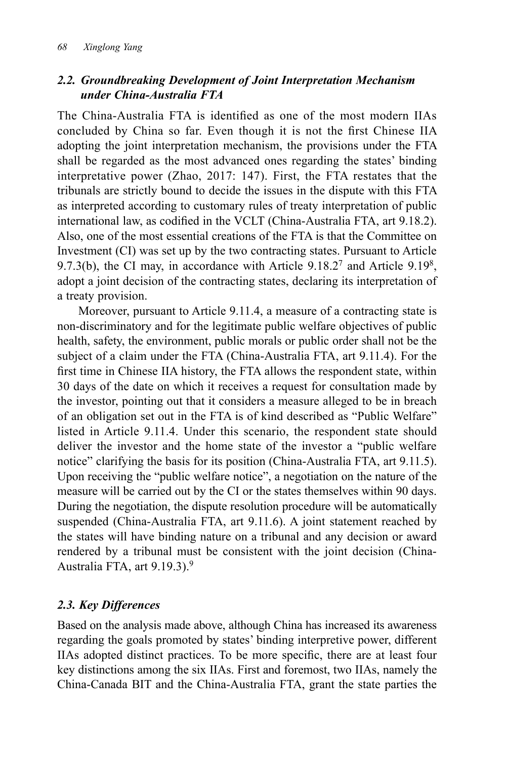# *2.2. Groundbreaking Development of Joint Interpretation Mechanism under China-Australia FTA*

The China-Australia FTA is identified as one of the most modern IIAs concluded by China so far. Even though it is not the first Chinese IIA adopting the joint interpretation mechanism, the provisions under the FTA shall be regarded as the most advanced ones regarding the states' binding interpretative power (Zhao, 2017: 147). First, the FTA restates that the tribunals are strictly bound to decide the issues in the dispute with this FTA as interpreted according to customary rules of treaty interpretation of public international law, as codified in the VCLT (China-Australia FTA, art 9.18.2). Also, one of the most essential creations of the FTA is that the Committee on Investment (CI) was set up by the two contracting states. Pursuant to Article 9.7.3(b), the CI may, in accordance with Article  $9.18.2<sup>7</sup>$  and Article  $9.19<sup>8</sup>$ , adopt a joint decision of the contracting states, declaring its interpretation of a treaty provision.

Moreover, pursuant to Article 9.11.4, a measure of a contracting state is non-discriminatory and for the legitimate public welfare objectives of public health, safety, the environment, public morals or public order shall not be the subject of a claim under the FTA (China-Australia FTA, art 9.11.4). For the first time in Chinese IIA history, the FTA allows the respondent state, within 30 days of the date on which it receives a request for consultation made by the investor, pointing out that it considers a measure alleged to be in breach of an obligation set out in the FTA is of kind described as "Public Welfare" listed in Article 9.11.4. Under this scenario, the respondent state should deliver the investor and the home state of the investor a "public welfare notice" clarifying the basis for its position (China-Australia FTA, art 9.11.5). Upon receiving the "public welfare notice", a negotiation on the nature of the measure will be carried out by the CI or the states themselves within 90 days. During the negotiation, the dispute resolution procedure will be automatically suspended (China-Australia FTA, art 9.11.6). A joint statement reached by the states will have binding nature on a tribunal and any decision or award rendered by a tribunal must be consistent with the joint decision (China-Australia FTA, art 9.19.3).9

# *2.3. Key Differences*

Based on the analysis made above, although China has increased its awareness regarding the goals promoted by states' binding interpretive power, different IIAs adopted distinct practices. To be more specific, there are at least four key distinctions among the six IIAs. First and foremost, two IIAs, namely the China-Canada BIT and the China-Australia FTA, grant the state parties the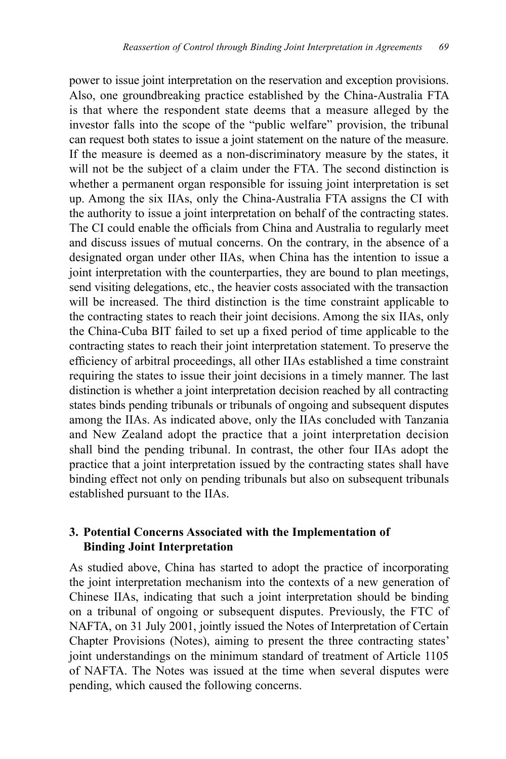power to issue joint interpretation on the reservation and exception provisions. Also, one groundbreaking practice established by the China-Australia FTA is that where the respondent state deems that a measure alleged by the investor falls into the scope of the "public welfare" provision, the tribunal can request both states to issue a joint statement on the nature of the measure. If the measure is deemed as a non-discriminatory measure by the states, it will not be the subject of a claim under the FTA. The second distinction is whether a permanent organ responsible for issuing joint interpretation is set up. Among the six IIAs, only the China-Australia FTA assigns the CI with the authority to issue a joint interpretation on behalf of the contracting states. The CI could enable the officials from China and Australia to regularly meet and discuss issues of mutual concerns. On the contrary, in the absence of a designated organ under other IIAs, when China has the intention to issue a joint interpretation with the counterparties, they are bound to plan meetings, send visiting delegations, etc., the heavier costs associated with the transaction will be increased. The third distinction is the time constraint applicable to the contracting states to reach their joint decisions. Among the six IIAs, only the China-Cuba BIT failed to set up a fixed period of time applicable to the contracting states to reach their joint interpretation statement. To preserve the efficiency of arbitral proceedings, all other IIAs established a time constraint requiring the states to issue their joint decisions in a timely manner. The last distinction is whether a joint interpretation decision reached by all contracting states binds pending tribunals or tribunals of ongoing and subsequent disputes among the IIAs. As indicated above, only the IIAs concluded with Tanzania and New Zealand adopt the practice that a joint interpretation decision shall bind the pending tribunal. In contrast, the other four IIAs adopt the practice that a joint interpretation issued by the contracting states shall have binding effect not only on pending tribunals but also on subsequent tribunals established pursuant to the IIAs.

#### **3. Potential Concerns Associated with the Implementation of Binding Joint Interpretation**

As studied above, China has started to adopt the practice of incorporating the joint interpretation mechanism into the contexts of a new generation of Chinese IIAs, indicating that such a joint interpretation should be binding on a tribunal of ongoing or subsequent disputes. Previously, the FTC of NAFTA, on 31 July 2001, jointly issued the Notes of Interpretation of Certain Chapter Provisions (Notes), aiming to present the three contracting states' joint understandings on the minimum standard of treatment of Article 1105 of NAFTA. The Notes was issued at the time when several disputes were pending, which caused the following concerns.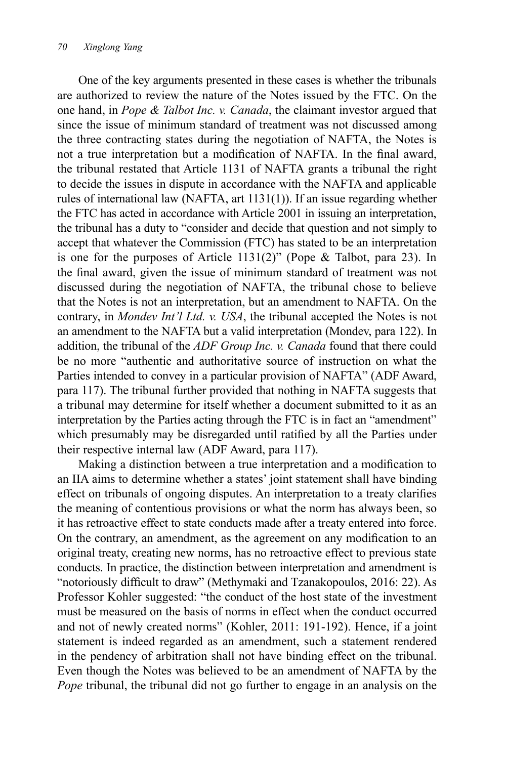One of the key arguments presented in these cases is whether the tribunals are authorized to review the nature of the Notes issued by the FTC. On the one hand, in *Pope & Talbot Inc. v. Canada*, the claimant investor argued that since the issue of minimum standard of treatment was not discussed among the three contracting states during the negotiation of NAFTA, the Notes is not a true interpretation but a modification of NAFTA. In the final award, the tribunal restated that Article 1131 of NAFTA grants a tribunal the right to decide the issues in dispute in accordance with the NAFTA and applicable rules of international law (NAFTA, art 1131(1)). If an issue regarding whether the FTC has acted in accordance with Article 2001 in issuing an interpretation, the tribunal has a duty to "consider and decide that question and not simply to accept that whatever the Commission (FTC) has stated to be an interpretation is one for the purposes of Article 1131(2)" (Pope & Talbot, para 23). In the final award, given the issue of minimum standard of treatment was not discussed during the negotiation of NAFTA, the tribunal chose to believe that the Notes is not an interpretation, but an amendment to NAFTA. On the contrary, in *Mondev Int'l Ltd. v. USA*, the tribunal accepted the Notes is not an amendment to the NAFTA but a valid interpretation (Mondev, para 122). In addition, the tribunal of the *ADF Group Inc. v. Canada* found that there could be no more "authentic and authoritative source of instruction on what the Parties intended to convey in a particular provision of NAFTA" (ADF Award, para 117). The tribunal further provided that nothing in NAFTA suggests that a tribunal may determine for itself whether a document submitted to it as an interpretation by the Parties acting through the FTC is in fact an "amendment" which presumably may be disregarded until ratified by all the Parties under their respective internal law (ADF Award, para 117).

Making a distinction between a true interpretation and a modification to an IIA aims to determine whether a states' joint statement shall have binding effect on tribunals of ongoing disputes. An interpretation to a treaty clarifies the meaning of contentious provisions or what the norm has always been, so it has retroactive effect to state conducts made after a treaty entered into force. On the contrary, an amendment, as the agreement on any modification to an original treaty, creating new norms, has no retroactive effect to previous state conducts. In practice, the distinction between interpretation and amendment is "notoriously difficult to draw" (Methymaki and Tzanakopoulos, 2016: 22). As Professor Kohler suggested: "the conduct of the host state of the investment must be measured on the basis of norms in effect when the conduct occurred and not of newly created norms" (Kohler, 2011: 191-192). Hence, if a joint statement is indeed regarded as an amendment, such a statement rendered in the pendency of arbitration shall not have binding effect on the tribunal. Even though the Notes was believed to be an amendment of NAFTA by the *Pope* tribunal, the tribunal did not go further to engage in an analysis on the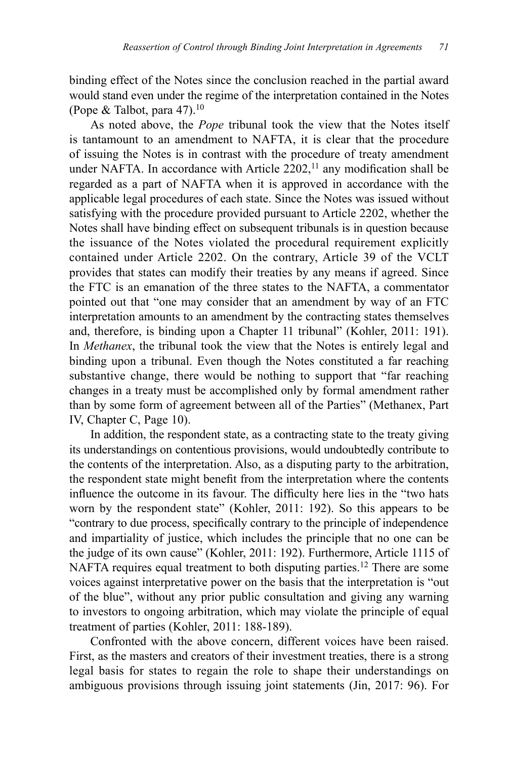binding effect of the Notes since the conclusion reached in the partial award would stand even under the regime of the interpretation contained in the Notes (Pope & Talbot, para 47).<sup>10</sup>

As noted above, the *Pope* tribunal took the view that the Notes itself is tantamount to an amendment to NAFTA, it is clear that the procedure of issuing the Notes is in contrast with the procedure of treaty amendment under NAFTA. In accordance with Article  $2202$ ,<sup>11</sup> any modification shall be regarded as a part of NAFTA when it is approved in accordance with the applicable legal procedures of each state. Since the Notes was issued without satisfying with the procedure provided pursuant to Article 2202, whether the Notes shall have binding effect on subsequent tribunals is in question because the issuance of the Notes violated the procedural requirement explicitly contained under Article 2202. On the contrary, Article 39 of the VCLT provides that states can modify their treaties by any means if agreed. Since the FTC is an emanation of the three states to the NAFTA, a commentator pointed out that "one may consider that an amendment by way of an FTC interpretation amounts to an amendment by the contracting states themselves and, therefore, is binding upon a Chapter 11 tribunal" (Kohler, 2011: 191). In *Methanex*, the tribunal took the view that the Notes is entirely legal and binding upon a tribunal. Even though the Notes constituted a far reaching substantive change, there would be nothing to support that "far reaching changes in a treaty must be accomplished only by formal amendment rather than by some form of agreement between all of the Parties" (Methanex, Part IV, Chapter C, Page 10).

In addition, the respondent state, as a contracting state to the treaty giving its understandings on contentious provisions, would undoubtedly contribute to the contents of the interpretation. Also, as a disputing party to the arbitration, the respondent state might benefit from the interpretation where the contents influence the outcome in its favour. The difficulty here lies in the "two hats worn by the respondent state" (Kohler, 2011: 192). So this appears to be "contrary to due process, specifically contrary to the principle of independence and impartiality of justice, which includes the principle that no one can be the judge of its own cause" (Kohler, 2011: 192). Furthermore, Article 1115 of NAFTA requires equal treatment to both disputing parties.<sup>12</sup> There are some voices against interpretative power on the basis that the interpretation is "out of the blue", without any prior public consultation and giving any warning to investors to ongoing arbitration, which may violate the principle of equal treatment of parties (Kohler, 2011: 188-189).

Confronted with the above concern, different voices have been raised. First, as the masters and creators of their investment treaties, there is a strong legal basis for states to regain the role to shape their understandings on ambiguous provisions through issuing joint statements (Jin, 2017: 96). For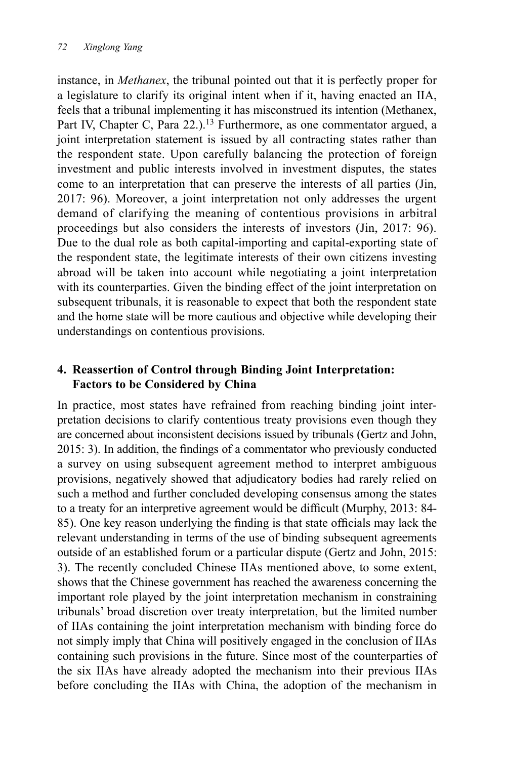instance, in *Methanex*, the tribunal pointed out that it is perfectly proper for a legislature to clarify its original intent when if it, having enacted an IIA, feels that a tribunal implementing it has misconstrued its intention (Methanex, Part IV, Chapter C, Para 22.).<sup>13</sup> Furthermore, as one commentator argued, a joint interpretation statement is issued by all contracting states rather than the respondent state. Upon carefully balancing the protection of foreign investment and public interests involved in investment disputes, the states come to an interpretation that can preserve the interests of all parties (Jin, 2017: 96). Moreover, a joint interpretation not only addresses the urgent demand of clarifying the meaning of contentious provisions in arbitral proceedings but also considers the interests of investors (Jin, 2017: 96). Due to the dual role as both capital-importing and capital-exporting state of the respondent state, the legitimate interests of their own citizens investing abroad will be taken into account while negotiating a joint interpretation with its counterparties. Given the binding effect of the joint interpretation on subsequent tribunals, it is reasonable to expect that both the respondent state and the home state will be more cautious and objective while developing their understandings on contentious provisions.

## **4. Reassertion of Control through Binding Joint Interpretation: Factors to be Considered by China**

In practice, most states have refrained from reaching binding joint interpretation decisions to clarify contentious treaty provisions even though they are concerned about inconsistent decisions issued by tribunals (Gertz and John, 2015: 3). In addition, the findings of a commentator who previously conducted a survey on using subsequent agreement method to interpret ambiguous provisions, negatively showed that adjudicatory bodies had rarely relied on such a method and further concluded developing consensus among the states to a treaty for an interpretive agreement would be difficult (Murphy, 2013: 84- 85). One key reason underlying the finding is that state officials may lack the relevant understanding in terms of the use of binding subsequent agreements outside of an established forum or a particular dispute (Gertz and John, 2015: 3). The recently concluded Chinese IIAs mentioned above, to some extent, shows that the Chinese government has reached the awareness concerning the important role played by the joint interpretation mechanism in constraining tribunals' broad discretion over treaty interpretation, but the limited number of IIAs containing the joint interpretation mechanism with binding force do not simply imply that China will positively engaged in the conclusion of IIAs containing such provisions in the future. Since most of the counterparties of the six IIAs have already adopted the mechanism into their previous IIAs before concluding the IIAs with China, the adoption of the mechanism in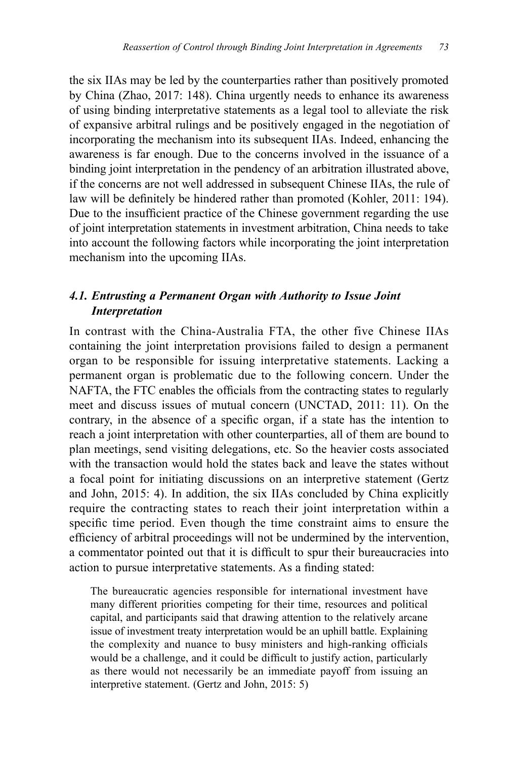the six IIAs may be led by the counterparties rather than positively promoted by China (Zhao, 2017: 148). China urgently needs to enhance its awareness of using binding interpretative statements as a legal tool to alleviate the risk of expansive arbitral rulings and be positively engaged in the negotiation of incorporating the mechanism into its subsequent IIAs. Indeed, enhancing the awareness is far enough. Due to the concerns involved in the issuance of a binding joint interpretation in the pendency of an arbitration illustrated above, if the concerns are not well addressed in subsequent Chinese IIAs, the rule of law will be definitely be hindered rather than promoted (Kohler, 2011: 194). Due to the insufficient practice of the Chinese government regarding the use of joint interpretation statements in investment arbitration, China needs to take into account the following factors while incorporating the joint interpretation mechanism into the upcoming IIAs.

#### *4.1. Entrusting a Permanent Organ with Authority to Issue Joint Interpretation*

In contrast with the China-Australia FTA, the other five Chinese IIAs containing the joint interpretation provisions failed to design a permanent organ to be responsible for issuing interpretative statements. Lacking a permanent organ is problematic due to the following concern. Under the NAFTA, the FTC enables the officials from the contracting states to regularly meet and discuss issues of mutual concern (UNCTAD, 2011: 11). On the contrary, in the absence of a specific organ, if a state has the intention to reach a joint interpretation with other counterparties, all of them are bound to plan meetings, send visiting delegations, etc. So the heavier costs associated with the transaction would hold the states back and leave the states without a focal point for initiating discussions on an interpretive statement (Gertz and John, 2015: 4). In addition, the six IIAs concluded by China explicitly require the contracting states to reach their joint interpretation within a specific time period. Even though the time constraint aims to ensure the efficiency of arbitral proceedings will not be undermined by the intervention, a commentator pointed out that it is difficult to spur their bureaucracies into action to pursue interpretative statements. As a finding stated:

The bureaucratic agencies responsible for international investment have many different priorities competing for their time, resources and political capital, and participants said that drawing attention to the relatively arcane issue of investment treaty interpretation would be an uphill battle. Explaining the complexity and nuance to busy ministers and high-ranking officials would be a challenge, and it could be difficult to justify action, particularly as there would not necessarily be an immediate payoff from issuing an interpretive statement. (Gertz and John, 2015: 5)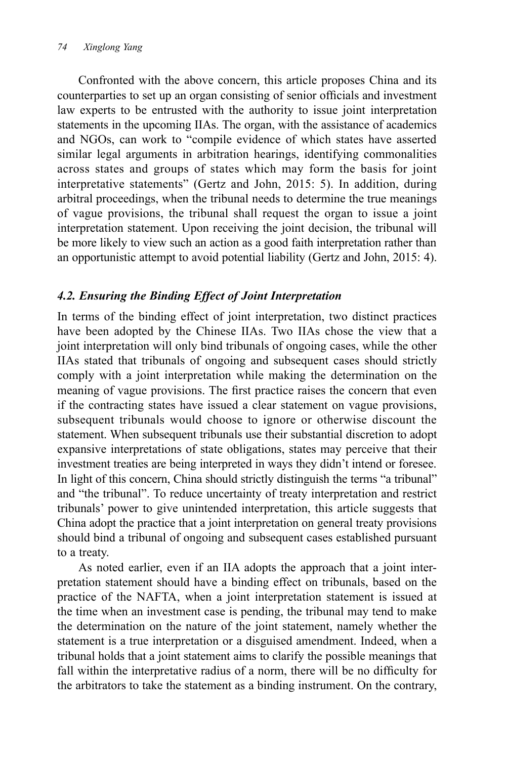Confronted with the above concern, this article proposes China and its counterparties to set up an organ consisting of senior officials and investment law experts to be entrusted with the authority to issue joint interpretation statements in the upcoming IIAs. The organ, with the assistance of academics and NGOs, can work to "compile evidence of which states have asserted similar legal arguments in arbitration hearings, identifying commonalities across states and groups of states which may form the basis for joint interpretative statements" (Gertz and John, 2015: 5). In addition, during arbitral proceedings, when the tribunal needs to determine the true meanings of vague provisions, the tribunal shall request the organ to issue a joint interpretation statement. Upon receiving the joint decision, the tribunal will be more likely to view such an action as a good faith interpretation rather than an opportunistic attempt to avoid potential liability (Gertz and John, 2015: 4).

## *4.2. Ensuring the Binding Effect of Joint Interpretation*

In terms of the binding effect of joint interpretation, two distinct practices have been adopted by the Chinese IIAs. Two IIAs chose the view that a joint interpretation will only bind tribunals of ongoing cases, while the other IIAs stated that tribunals of ongoing and subsequent cases should strictly comply with a joint interpretation while making the determination on the meaning of vague provisions. The first practice raises the concern that even if the contracting states have issued a clear statement on vague provisions, subsequent tribunals would choose to ignore or otherwise discount the statement. When subsequent tribunals use their substantial discretion to adopt expansive interpretations of state obligations, states may perceive that their investment treaties are being interpreted in ways they didn't intend or foresee. In light of this concern, China should strictly distinguish the terms "a tribunal" and "the tribunal". To reduce uncertainty of treaty interpretation and restrict tribunals' power to give unintended interpretation, this article suggests that China adopt the practice that a joint interpretation on general treaty provisions should bind a tribunal of ongoing and subsequent cases established pursuant to a treaty.

As noted earlier, even if an IIA adopts the approach that a joint interpretation statement should have a binding effect on tribunals, based on the practice of the NAFTA, when a joint interpretation statement is issued at the time when an investment case is pending, the tribunal may tend to make the determination on the nature of the joint statement, namely whether the statement is a true interpretation or a disguised amendment. Indeed, when a tribunal holds that a joint statement aims to clarify the possible meanings that fall within the interpretative radius of a norm, there will be no difficulty for the arbitrators to take the statement as a binding instrument. On the contrary,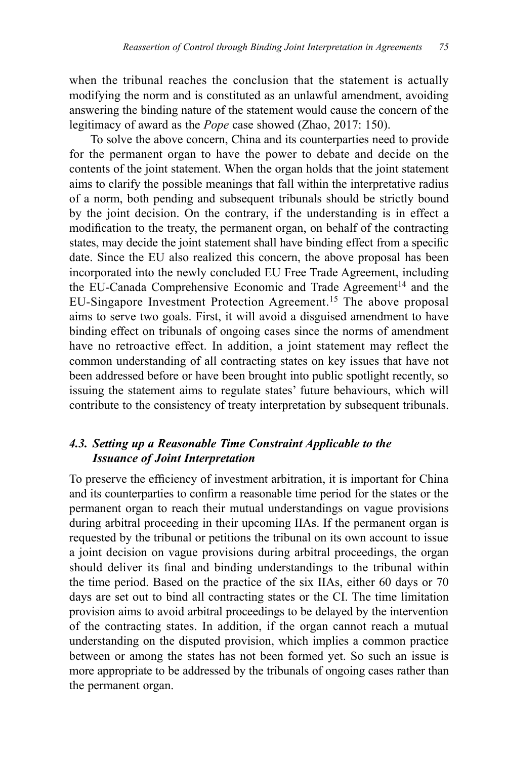when the tribunal reaches the conclusion that the statement is actually modifying the norm and is constituted as an unlawful amendment, avoiding answering the binding nature of the statement would cause the concern of the legitimacy of award as the *Pope* case showed (Zhao, 2017: 150).

To solve the above concern, China and its counterparties need to provide for the permanent organ to have the power to debate and decide on the contents of the joint statement. When the organ holds that the joint statement aims to clarify the possible meanings that fall within the interpretative radius of a norm, both pending and subsequent tribunals should be strictly bound by the joint decision. On the contrary, if the understanding is in effect a modification to the treaty, the permanent organ, on behalf of the contracting states, may decide the joint statement shall have binding effect from a specific date. Since the EU also realized this concern, the above proposal has been incorporated into the newly concluded EU Free Trade Agreement, including the EU-Canada Comprehensive Economic and Trade Agreement<sup>14</sup> and the EU-Singapore Investment Protection Agreement.15 The above proposal aims to serve two goals. First, it will avoid a disguised amendment to have binding effect on tribunals of ongoing cases since the norms of amendment have no retroactive effect. In addition, a joint statement may reflect the common understanding of all contracting states on key issues that have not been addressed before or have been brought into public spotlight recently, so issuing the statement aims to regulate states' future behaviours, which will contribute to the consistency of treaty interpretation by subsequent tribunals.

#### *4.3. Setting up a Reasonable Time Constraint Applicable to the Issuance of Joint Interpretation*

To preserve the efficiency of investment arbitration, it is important for China and its counterparties to confirm a reasonable time period for the states or the permanent organ to reach their mutual understandings on vague provisions during arbitral proceeding in their upcoming IIAs. If the permanent organ is requested by the tribunal or petitions the tribunal on its own account to issue a joint decision on vague provisions during arbitral proceedings, the organ should deliver its final and binding understandings to the tribunal within the time period. Based on the practice of the six IIAs, either 60 days or 70 days are set out to bind all contracting states or the CI. The time limitation provision aims to avoid arbitral proceedings to be delayed by the intervention of the contracting states. In addition, if the organ cannot reach a mutual understanding on the disputed provision, which implies a common practice between or among the states has not been formed yet. So such an issue is more appropriate to be addressed by the tribunals of ongoing cases rather than the permanent organ.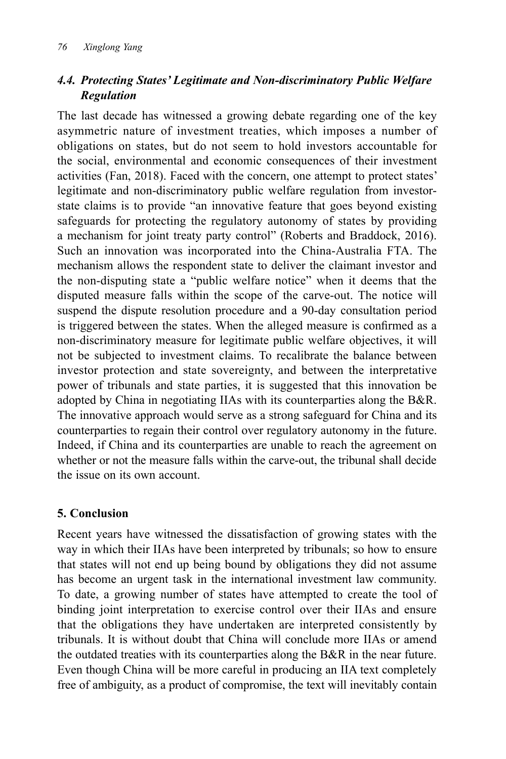# *4.4. Protecting States' Legitimate and Non-discriminatory Public Welfare Regulation*

The last decade has witnessed a growing debate regarding one of the key asymmetric nature of investment treaties, which imposes a number of obligations on states, but do not seem to hold investors accountable for the social, environmental and economic consequences of their investment activities (Fan, 2018). Faced with the concern, one attempt to protect states' legitimate and non-discriminatory public welfare regulation from investorstate claims is to provide "an innovative feature that goes beyond existing safeguards for protecting the regulatory autonomy of states by providing a mechanism for joint treaty party control" (Roberts and Braddock, 2016). Such an innovation was incorporated into the China-Australia FTA. The mechanism allows the respondent state to deliver the claimant investor and the non-disputing state a "public welfare notice" when it deems that the disputed measure falls within the scope of the carve-out. The notice will suspend the dispute resolution procedure and a 90-day consultation period is triggered between the states. When the alleged measure is confirmed as a non-discriminatory measure for legitimate public welfare objectives, it will not be subjected to investment claims. To recalibrate the balance between investor protection and state sovereignty, and between the interpretative power of tribunals and state parties, it is suggested that this innovation be adopted by China in negotiating IIAs with its counterparties along the B&R. The innovative approach would serve as a strong safeguard for China and its counterparties to regain their control over regulatory autonomy in the future. Indeed, if China and its counterparties are unable to reach the agreement on whether or not the measure falls within the carve-out, the tribunal shall decide the issue on its own account.

# **5. Conclusion**

Recent years have witnessed the dissatisfaction of growing states with the way in which their IIAs have been interpreted by tribunals; so how to ensure that states will not end up being bound by obligations they did not assume has become an urgent task in the international investment law community. To date, a growing number of states have attempted to create the tool of binding joint interpretation to exercise control over their IIAs and ensure that the obligations they have undertaken are interpreted consistently by tribunals. It is without doubt that China will conclude more IIAs or amend the outdated treaties with its counterparties along the B&R in the near future. Even though China will be more careful in producing an IIA text completely free of ambiguity, as a product of compromise, the text will inevitably contain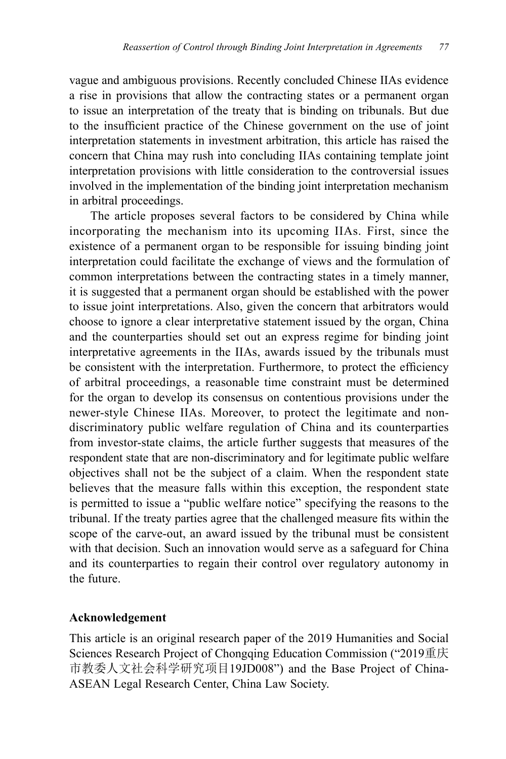vague and ambiguous provisions. Recently concluded Chinese IIAs evidence a rise in provisions that allow the contracting states or a permanent organ to issue an interpretation of the treaty that is binding on tribunals. But due to the insufficient practice of the Chinese government on the use of joint interpretation statements in investment arbitration, this article has raised the concern that China may rush into concluding IIAs containing template joint interpretation provisions with little consideration to the controversial issues involved in the implementation of the binding joint interpretation mechanism in arbitral proceedings.

The article proposes several factors to be considered by China while incorporating the mechanism into its upcoming IIAs. First, since the existence of a permanent organ to be responsible for issuing binding joint interpretation could facilitate the exchange of views and the formulation of common interpretations between the contracting states in a timely manner, it is suggested that a permanent organ should be established with the power to issue joint interpretations. Also, given the concern that arbitrators would choose to ignore a clear interpretative statement issued by the organ, China and the counterparties should set out an express regime for binding joint interpretative agreements in the IIAs, awards issued by the tribunals must be consistent with the interpretation. Furthermore, to protect the efficiency of arbitral proceedings, a reasonable time constraint must be determined for the organ to develop its consensus on contentious provisions under the newer-style Chinese IIAs. Moreover, to protect the legitimate and nondiscriminatory public welfare regulation of China and its counterparties from investor-state claims, the article further suggests that measures of the respondent state that are non-discriminatory and for legitimate public welfare objectives shall not be the subject of a claim. When the respondent state believes that the measure falls within this exception, the respondent state is permitted to issue a "public welfare notice" specifying the reasons to the tribunal. If the treaty parties agree that the challenged measure fits within the scope of the carve-out, an award issued by the tribunal must be consistent with that decision. Such an innovation would serve as a safeguard for China and its counterparties to regain their control over regulatory autonomy in the future.

#### **Acknowledgement**

This article is an original research paper of the 2019 Humanities and Social Sciences Research Project of Chongqing Education Commission ("2019重庆 市教委人文社会科学研究项目19JD008") and the Base Project of China-ASEAN Legal Research Center, China Law Society.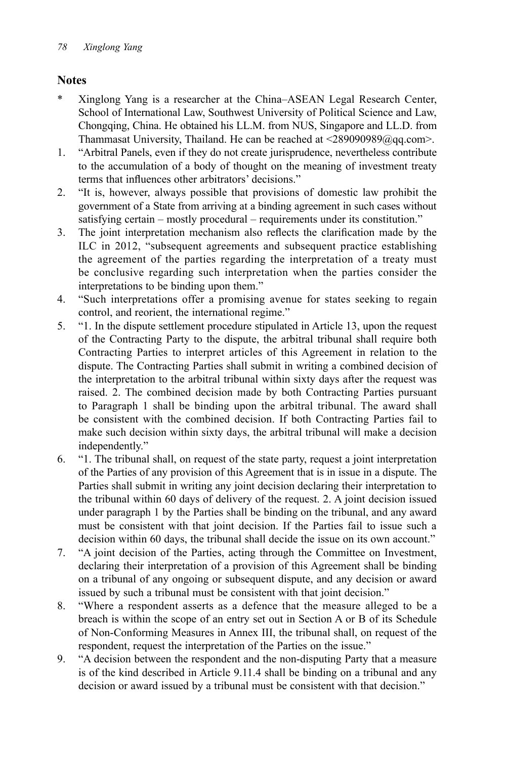## **Notes**

- \* Xinglong Yang is a researcher at the China–ASEAN Legal Research Center, School of International Law, Southwest University of Political Science and Law, Chongqing, China. He obtained his LL.M. from NUS, Singapore and LL.D. from Thammasat University, Thailand. He can be reached at <289090989@qq.com>.
- 1. "Arbitral Panels, even if they do not create jurisprudence, nevertheless contribute to the accumulation of a body of thought on the meaning of investment treaty terms that influences other arbitrators' decisions."
- 2. "It is, however, always possible that provisions of domestic law prohibit the government of a State from arriving at a binding agreement in such cases without satisfying certain – mostly procedural – requirements under its constitution."
- 3. The joint interpretation mechanism also reflects the clarification made by the ILC in 2012, "subsequent agreements and subsequent practice establishing the agreement of the parties regarding the interpretation of a treaty must be conclusive regarding such interpretation when the parties consider the interpretations to be binding upon them."
- 4. "Such interpretations offer a promising avenue for states seeking to regain control, and reorient, the international regime."
- 5. "1. In the dispute settlement procedure stipulated in Article 13, upon the request of the Contracting Party to the dispute, the arbitral tribunal shall require both Contracting Parties to interpret articles of this Agreement in relation to the dispute. The Contracting Parties shall submit in writing a combined decision of the interpretation to the arbitral tribunal within sixty days after the request was raised. 2. The combined decision made by both Contracting Parties pursuant to Paragraph 1 shall be binding upon the arbitral tribunal. The award shall be consistent with the combined decision. If both Contracting Parties fail to make such decision within sixty days, the arbitral tribunal will make a decision independently."
- 6. "1. The tribunal shall, on request of the state party, request a joint interpretation of the Parties of any provision of this Agreement that is in issue in a dispute. The Parties shall submit in writing any joint decision declaring their interpretation to the tribunal within 60 days of delivery of the request. 2. A joint decision issued under paragraph 1 by the Parties shall be binding on the tribunal, and any award must be consistent with that joint decision. If the Parties fail to issue such a decision within 60 days, the tribunal shall decide the issue on its own account."
- 7. "A joint decision of the Parties, acting through the Committee on Investment, declaring their interpretation of a provision of this Agreement shall be binding on a tribunal of any ongoing or subsequent dispute, and any decision or award issued by such a tribunal must be consistent with that joint decision."
- 8. "Where a respondent asserts as a defence that the measure alleged to be a breach is within the scope of an entry set out in Section A or B of its Schedule of Non-Conforming Measures in Annex III, the tribunal shall, on request of the respondent, request the interpretation of the Parties on the issue."
- 9. "A decision between the respondent and the non-disputing Party that a measure is of the kind described in Article 9.11.4 shall be binding on a tribunal and any decision or award issued by a tribunal must be consistent with that decision."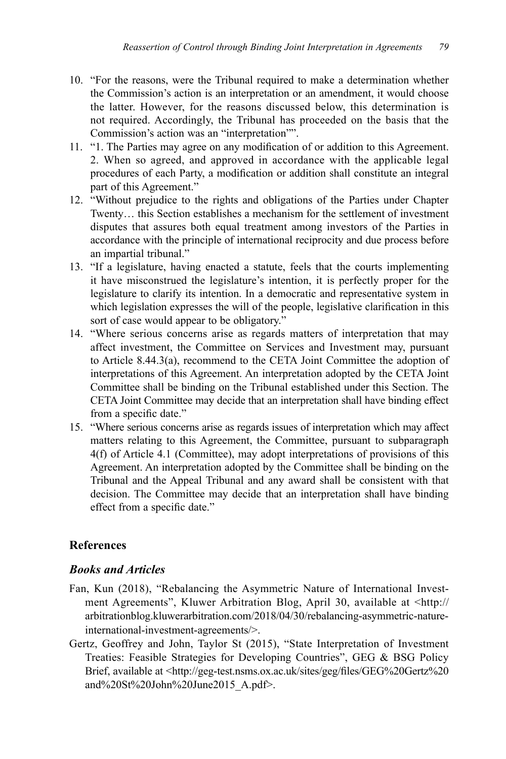- 10. "For the reasons, were the Tribunal required to make a determination whether the Commission's action is an interpretation or an amendment, it would choose the latter. However, for the reasons discussed below, this determination is not required. Accordingly, the Tribunal has proceeded on the basis that the Commission's action was an "interpretation"".
- 11. "1. The Parties may agree on any modification of or addition to this Agreement. 2. When so agreed, and approved in accordance with the applicable legal procedures of each Party, a modification or addition shall constitute an integral part of this Agreement."
- 12. "Without prejudice to the rights and obligations of the Parties under Chapter Twenty… this Section establishes a mechanism for the settlement of investment disputes that assures both equal treatment among investors of the Parties in accordance with the principle of international reciprocity and due process before an impartial tribunal."
- 13. "If a legislature, having enacted a statute, feels that the courts implementing it have misconstrued the legislature's intention, it is perfectly proper for the legislature to clarify its intention. In a democratic and representative system in which legislation expresses the will of the people, legislative clarification in this sort of case would appear to be obligatory."
- 14. "Where serious concerns arise as regards matters of interpretation that may affect investment, the Committee on Services and Investment may, pursuant to Article 8.44.3(a), recommend to the CETA Joint Committee the adoption of interpretations of this Agreement. An interpretation adopted by the CETA Joint Committee shall be binding on the Tribunal established under this Section. The CETA Joint Committee may decide that an interpretation shall have binding effect from a specific date."
- 15. "Where serious concerns arise as regards issues of interpretation which may affect matters relating to this Agreement, the Committee, pursuant to subparagraph 4(f) of Article 4.1 (Committee), may adopt interpretations of provisions of this Agreement. An interpretation adopted by the Committee shall be binding on the Tribunal and the Appeal Tribunal and any award shall be consistent with that decision. The Committee may decide that an interpretation shall have binding effect from a specific date."

# **References**

### *Books and Articles*

- Fan, Kun (2018), "Rebalancing the Asymmetric Nature of International Investment Agreements", Kluwer Arbitration Blog, April 30, available at <http:// arbitrationblog.kluwerarbitration.com/2018/04/30/rebalancing-asymmetric-natureinternational-investment-agreements/>.
- Gertz, Geoffrey and John, Taylor St (2015), "State Interpretation of Investment Treaties: Feasible Strategies for Developing Countries", GEG & BSG Policy Brief, available at <http://geg-test.nsms.ox.ac.uk/sites/geg/files/GEG%20Gertz%20 and%20St%20John%20June2015\_A.pdf>.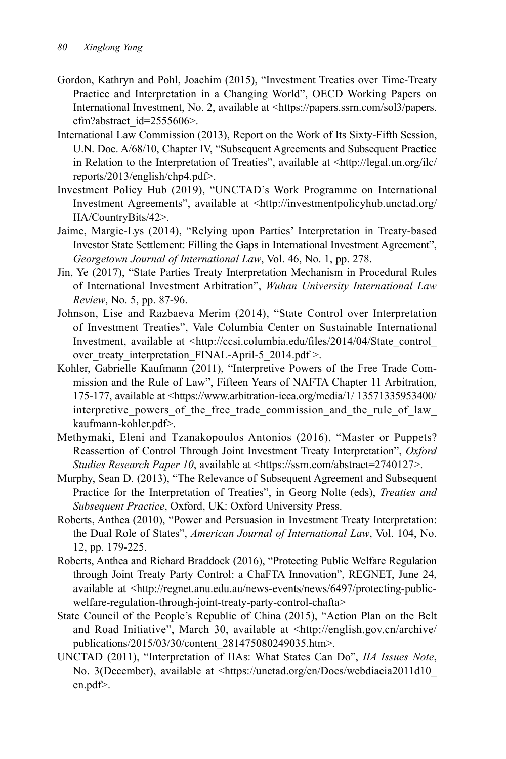- Gordon, Kathryn and Pohl, Joachim (2015), "Investment Treaties over Time-Treaty Practice and Interpretation in a Changing World", OECD Working Papers on International Investment, No. 2, available at <https://papers.ssrn.com/sol3/papers. cfm?abstract\_id=2555606>.
- International Law Commission (2013), Report on the Work of Its Sixty-Fifth Session, U.N. Doc. A/68/10, Chapter IV, "Subsequent Agreements and Subsequent Practice in Relation to the Interpretation of Treaties", available at <http://legal.un.org/ilc/ reports/2013/english/chp4.pdf>.
- Investment Policy Hub (2019), "UNCTAD's Work Programme on International Investment Agreements", available at <http://investmentpolicyhub.unctad.org/ IIA/CountryBits/42>.
- Jaime, Margie-Lys (2014), "Relying upon Parties' Interpretation in Treaty-based Investor State Settlement: Filling the Gaps in International Investment Agreement", *Georgetown Journal of International Law*, Vol. 46, No. 1, pp. 278.
- Jin, Ye (2017), "State Parties Treaty Interpretation Mechanism in Procedural Rules of International Investment Arbitration", *Wuhan University International Law Review*, No. 5, pp. 87-96.
- Johnson, Lise and Razbaeva Merim (2014), "State Control over Interpretation of Investment Treaties", Vale Columbia Center on Sustainable International Investment, available at <http://ccsi.columbia.edu/files/2014/04/State\_control over treaty interpretation FINAL-April-5 2014.pdf >.
- Kohler, Gabrielle Kaufmann (2011), "Interpretive Powers of the Free Trade Commission and the Rule of Law", Fifteen Years of NAFTA Chapter 11 Arbitration, 175-177, available at <https://www.arbitration-icca.org/media/1/ 13571335953400/ interpretive\_powers\_of\_the\_free\_trade\_commission\_and\_the\_rule\_of\_law\_ kaufmann-kohler.pdf>.
- Methymaki, Eleni and Tzanakopoulos Antonios (2016), "Master or Puppets? Reassertion of Control Through Joint Investment Treaty Interpretation", *Oxford Studies Research Paper 10*, available at <https://ssrn.com/abstract=2740127>.
- Murphy, Sean D. (2013), "The Relevance of Subsequent Agreement and Subsequent Practice for the Interpretation of Treaties", in Georg Nolte (eds), *Treaties and Subsequent Practice*, Oxford, UK: Oxford University Press.
- Roberts, Anthea (2010), "Power and Persuasion in Investment Treaty Interpretation: the Dual Role of States", *American Journal of International Law*, Vol. 104, No. 12, pp. 179-225.
- Roberts, Anthea and Richard Braddock (2016), "Protecting Public Welfare Regulation through Joint Treaty Party Control: a ChaFTA Innovation", REGNET, June 24, available at <http://regnet.anu.edu.au/news-events/news/6497/protecting-publicwelfare-regulation-through-joint-treaty-party-control-chafta>
- State Council of the People's Republic of China (2015), "Action Plan on the Belt and Road Initiative", March 30, available at <http://english.gov.cn/archive/ publications/2015/03/30/content\_281475080249035.htm>.
- UNCTAD (2011), "Interpretation of IIAs: What States Can Do", *IIA Issues Note*, No. 3(December), available at <https://unctad.org/en/Docs/webdiaeia2011d10\_ en.pdf>.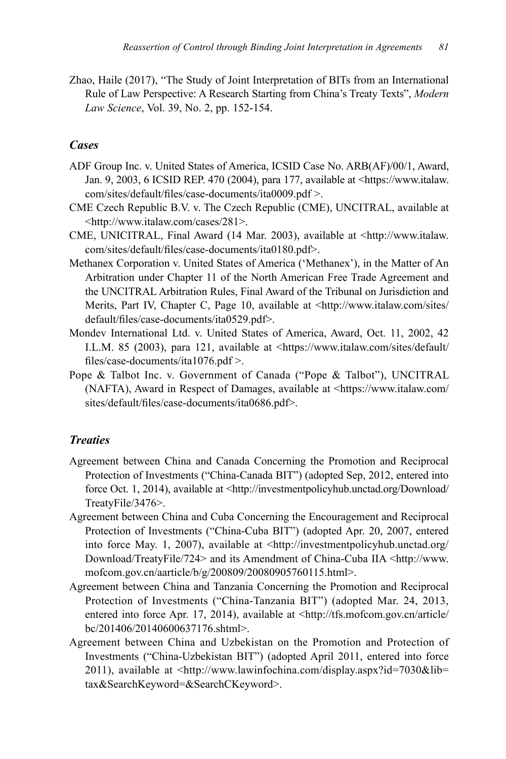Zhao, Haile (2017), "The Study of Joint Interpretation of BITs from an International Rule of Law Perspective: A Research Starting from China's Treaty Texts", *Modern Law Science*, Vol. 39, No. 2, pp. 152-154.

#### *Cases*

- ADF Group Inc. v. United States of America, ICSID Case No. ARB(AF)/00/1, Award, Jan. 9, 2003, 6 ICSID REP. 470 (2004), para 177, available at <https://www.italaw. com/sites/default/files/case-documents/ita0009.pdf >.
- CME Czech Republic B.V. v. The Czech Republic (CME), UNCITRAL, available at <http://www.italaw.com/cases/281>.
- CME, UNICITRAL, Final Award (14 Mar. 2003), available at <http://www.italaw. com/sites/default/files/case-documents/ita0180.pdf>.
- Methanex Corporation v. United States of America ('Methanex'), in the Matter of An Arbitration under Chapter 11 of the North American Free Trade Agreement and the UNCITRAL Arbitration Rules, Final Award of the Tribunal on Jurisdiction and Merits, Part IV, Chapter C, Page 10, available at <http://www.italaw.com/sites/ default/files/case-documents/ita0529.pdf>.
- Mondev International Ltd. v. United States of America, Award, Oct. 11, 2002, 42 I.L.M. 85 (2003), para 121, available at <https://www.italaw.com/sites/default/ files/case-documents/ita1076.pdf >.
- Pope & Talbot Inc. v. Government of Canada ("Pope & Talbot"), UNCITRAL (NAFTA), Award in Respect of Damages, available at <https://www.italaw.com/ sites/default/files/case-documents/ita0686.pdf>.

#### *Treaties*

- Agreement between China and Canada Concerning the Promotion and Reciprocal Protection of Investments ("China-Canada BIT") (adopted Sep, 2012, entered into force Oct. 1, 2014), available at <http://investmentpolicyhub.unctad.org/Download/ TreatyFile/3476>.
- Agreement between China and Cuba Concerning the Encouragement and Reciprocal Protection of Investments ("China-Cuba BIT") (adopted Apr. 20, 2007, entered into force May. 1, 2007), available at <http://investmentpolicyhub.unctad.org/ Download/TreatyFile/724> and its Amendment of China-Cuba IIA <http://www. mofcom.gov.cn/aarticle/b/g/200809/20080905760115.html>.
- Agreement between China and Tanzania Concerning the Promotion and Reciprocal Protection of Investments ("China-Tanzania BIT") (adopted Mar. 24, 2013, entered into force Apr. 17, 2014), available at <http://tfs.mofcom.gov.cn/article/ bc/201406/20140600637176.shtml>.
- Agreement between China and Uzbekistan on the Promotion and Protection of Investments ("China-Uzbekistan BIT") (adopted April 2011, entered into force 2011), available at <http://www.lawinfochina.com/display.aspx?id=7030&lib= tax&SearchKeyword=&SearchCKeyword>.